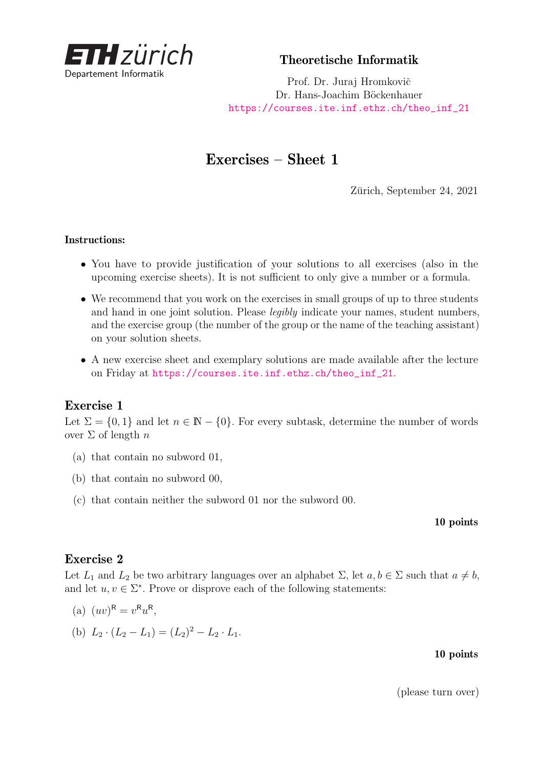

Theoretische Informatik

Prof. Dr. Juraj Hromkovič Dr. Hans-Joachim Böckenhauer [https://courses.ite.inf.ethz.ch/theo\\_inf\\_21](https://courses.ite.inf.ethz.ch/theo_inf_21)

# Exercises – Sheet 1

Zürich, September 24, 2021

#### Instructions:

- You have to provide justification of your solutions to all exercises (also in the upcoming exercise sheets). It is not sufficient to only give a number or a formula.
- We recommend that you work on the exercises in small groups of up to three students and hand in one joint solution. Please legibly indicate your names, student numbers, and the exercise group (the number of the group or the name of the teaching assistant) on your solution sheets.
- A new exercise sheet and exemplary solutions are made available after the lecture on Friday at [https://courses.ite.inf.ethz.ch/theo\\_inf\\_21](https://courses.ite.inf.ethz.ch/theo_inf_21).

### Exercise 1

Let  $\Sigma = \{0,1\}$  and let  $n \in \mathbb{N} - \{0\}$ . For every subtask, determine the number of words over Σ of length *n*

- (a) that contain no subword 01,
- (b) that contain no subword 00,
- (c) that contain neither the subword 01 nor the subword 00.

#### 10 points

### Exercise 2

Let  $L_1$  and  $L_2$  be two arbitrary languages over an alphabet  $\Sigma$ , let  $a, b \in \Sigma$  such that  $a \neq b$ , and let  $u, v \in \Sigma^*$ . Prove or disprove each of the following statements:

(a) 
$$
(uv)^{\mathsf{R}} = v^{\mathsf{R}} u^{\mathsf{R}},
$$

(b)  $L_2 \cdot (L_2 - L_1) = (L_2)^2 - L_2 \cdot L_1.$ 

#### 10 points

(please turn over)